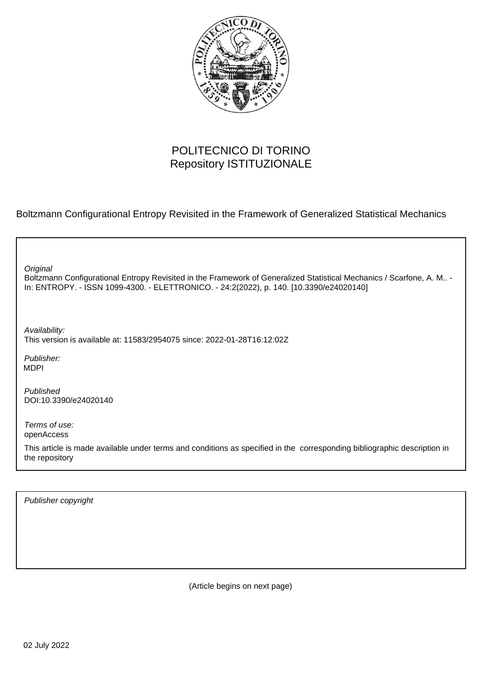

# POLITECNICO DI TORINO Repository ISTITUZIONALE

Boltzmann Configurational Entropy Revisited in the Framework of Generalized Statistical Mechanics

| Original<br>Boltzmann Configurational Entropy Revisited in the Framework of Generalized Statistical Mechanics / Scarfone, A. M -<br>In: ENTROPY. - ISSN 1099-4300. - ELETTRONICO. - 24:2(2022), p. 140. [10.3390/e24020140] |
|-----------------------------------------------------------------------------------------------------------------------------------------------------------------------------------------------------------------------------|
| Availability:<br>This version is available at: 11583/2954075 since: 2022-01-28T16:12:02Z                                                                                                                                    |
| Publisher:<br><b>MDPI</b>                                                                                                                                                                                                   |
| Published<br>DOI:10.3390/e24020140                                                                                                                                                                                          |
| Terms of use:<br>openAccess                                                                                                                                                                                                 |
| This article is made available under terms and conditions as specified in the corresponding bibliographic description in<br>the repository                                                                                  |
|                                                                                                                                                                                                                             |

Publisher copyright

(Article begins on next page)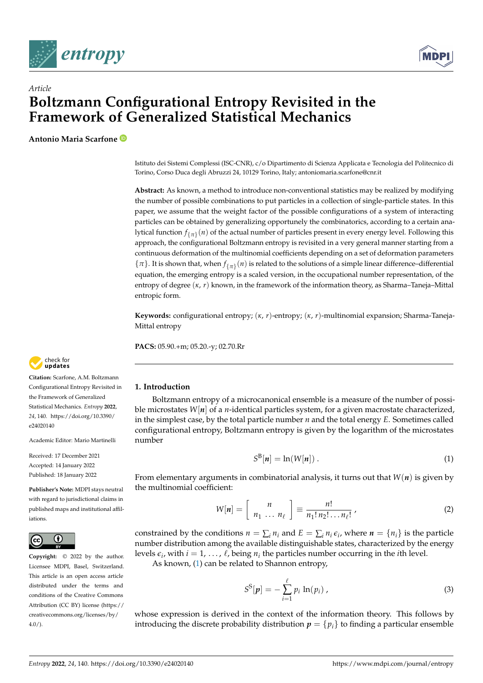



# *Article* **Boltzmann Configurational Entropy Revisited in the Framework of Generalized Statistical Mechanics**

**Antonio Maria Scarfone**

Istituto dei Sistemi Complessi (ISC-CNR), c/o Dipartimento di Scienza Applicata e Tecnologia del Politecnico di Torino, Corso Duca degli Abruzzi 24, 10129 Torino, Italy; antoniomaria.scarfone@cnr.it

**Abstract:** As known, a method to introduce non-conventional statistics may be realized by modifying the number of possible combinations to put particles in a collection of single-particle states. In this paper, we assume that the weight factor of the possible configurations of a system of interacting particles can be obtained by generalizing opportunely the combinatorics, according to a certain analytical function  $f_{\{\pi\}}(n)$  of the actual number of particles present in every energy level. Following this approach, the configurational Boltzmann entropy is revisited in a very general manner starting from a continuous deformation of the multinomial coefficients depending on a set of deformation parameters  ${\pi}$ . It is shown that, when  $f_{\{\pi\}}(n)$  is related to the solutions of a simple linear difference–differential equation, the emerging entropy is a scaled version, in the occupational number representation, of the entropy of degree (*κ*, *r*) known, in the framework of the information theory, as Sharma–Taneja–Mittal entropic form.

**Keywords:** configurational entropy; (*κ*, *r*)-entropy; (*κ*, *r*)-multinomial expansion; Sharma-Taneja-Mittal entropy

**PACS:** 05.90.+m; 05.20.-y; 02.70.Rr

## **1. Introduction**

Boltzmann entropy of a microcanonical ensemble is a measure of the number of possible microstates *W*[*n*] of a *n*-identical particles system, for a given macrostate characterized, in the simplest case, by the total particle number *n* and the total energy *E*. Sometimes called configurational entropy, Boltzmann entropy is given by the logarithm of the microstates number

$$
S^{\mathcal{B}}[n] = \ln(W[n]). \tag{1}
$$

From elementary arguments in combinatorial analysis, it turns out that *W*(*n*) is given by the multinomial coefficient:

$$
W[n] = \left[\begin{array}{c} n \\ n_1 \ldots n_\ell \end{array}\right] \equiv \frac{n!}{n_1! \, n_2! \ldots n_\ell!} \,,\tag{2}
$$

constrained by the conditions  $n = \sum_i n_i$  and  $E = \sum_i n_i \epsilon_i$ , where  $n = \{n_i\}$  is the particle number distribution among the available distinguishable states, characterized by the energy levels  $\epsilon_i$ , with  $i = 1, \ldots, \ell$ , being  $n_i$  the particles number occurring in the *i*th level.

As known, (1) can be related to Shannon entropy,

$$
S^{S}[p] = -\sum_{i=1}^{\ell} p_i \ln(p_i) , \qquad (3)
$$

whose expression is derived in the context of the information theory. This follows by introducing the discrete probability distribution  $p = \{p_i\}$  to finding a particular ensemble



**Citation:** Scarfone, A.M. Boltzmann Configurational Entropy Revisited in the Framework of Generalized Statistical Mechanics. *Entropy* **2022**, *24*, 140. [https://doi.org/10.3390/](https://doi.org/10.3390/e24020140) [e24020140](https://doi.org/10.3390/e24020140)

Academic Editor: Mario Martinelli

Received: 17 December 2021 Accepted: 14 January 2022 Published: 18 January 2022

**Publisher's Note:** MDPI stays neutral with regard to jurisdictional claims in published maps and institutional affiliations.



**Copyright:** © 2022 by the author. Licensee MDPI, Basel, Switzerland. This article is an open access article distributed under the terms and conditions of the Creative Commons Attribution (CC BY) license [\(https://](https://creativecommons.org/licenses/by/4.0/) [creativecommons.org/licenses/by/](https://creativecommons.org/licenses/by/4.0/)  $4.0/$ ).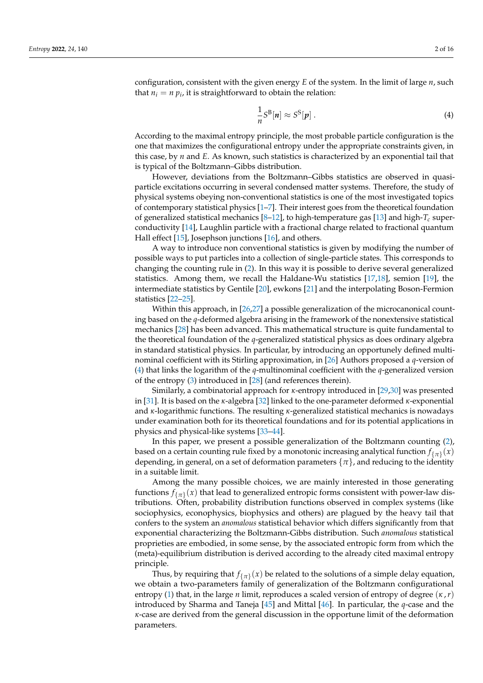configuration, consistent with the given energy *E* of the system. In the limit of large *n*, such that  $n_i = n p_i$ , it is straightforward to obtain the relation:

$$
\frac{1}{n}S^{\mathcal{B}}[n] \approx S^{\mathcal{S}}[p]. \tag{4}
$$

According to the maximal entropy principle, the most probable particle configuration is the one that maximizes the configurational entropy under the appropriate constraints given, in this case, by *n* and *E*. As known, such statistics is characterized by an exponential tail that is typical of the Boltzmann–Gibbs distribution.

However, deviations from the Boltzmann–Gibbs statistics are observed in quasiparticle excitations occurring in several condensed matter systems. Therefore, the study of physical systems obeying non-conventional statistics is one of the most investigated topics of contemporary statistical physics [1–7]. Their interest goes from the theoretical foundation of generalized statistical mechanics [8–12], to high-temperature gas [13] and high-*T<sup>c</sup>* superconductivity [14], Laughlin particle with a fractional charge related to fractional quantum Hall effect [15], Josephson junctions [16], and others.

A way to introduce non conventional statistics is given by modifying the number of possible ways to put particles into a collection of single-particle states. This corresponds to changing the counting rule in (2). In this way it is possible to derive several generalized statistics. Among them, we recall the Haldane-Wu statistics [17,18], semion [19], the intermediate statistics by Gentile [20], ewkons [21] and the interpolating Boson-Fermion statistics [22–25].

Within this approach, in [26,27] a possible generalization of the microcanonical counting based on the *q*-deformed algebra arising in the framework of the nonextensive statistical mechanics [28] has been advanced. This mathematical structure is quite fundamental to the theoretical foundation of the *q*-generalized statistical physics as does ordinary algebra in standard statistical physics. In particular, by introducing an opportunely defined multinominal coefficient with its Stirling approximation, in [26] Authors proposed a *q*-version of (4) that links the logarithm of the *q*-multinominal coefficient with the *q*-generalized version of the entropy (3) introduced in [28] (and references therein).

Similarly, a combinatorial approach for *κ*-entropy introduced in [29,30] was presented in [31]. It is based on the *κ*-algebra [32] linked to the one-parameter deformed *κ*-exponential and *κ*-logarithmic functions. The resulting *κ*-generalized statistical mechanics is nowadays under examination both for its theoretical foundations and for its potential applications in physics and physical-like systems [33–44].

In this paper, we present a possible generalization of the Boltzmann counting (2), based on a certain counting rule fixed by a monotonic increasing analytical function  $f_{\{\pi\}}(x)$ depending, in general, on a set of deformation parameters {*π*}, and reducing to the identity in a suitable limit.

Among the many possible choices, we are mainly interested in those generating functions  $f_{\{\pi\}}(x)$  that lead to generalized entropic forms consistent with power-law distributions. Often, probability distribution functions observed in complex systems (like sociophysics, econophysics, biophysics and others) are plagued by the heavy tail that confers to the system an *anomalous* statistical behavior which differs significantly from that exponential characterizing the Boltzmann-Gibbs distribution. Such *anomalous* statistical proprieties are embodied, in some sense, by the associated entropic form from which the (meta)-equilibrium distribution is derived according to the already cited maximal entropy principle.

Thus, by requiring that  $f_{\{\pi\}}(x)$  be related to the solutions of a simple delay equation, we obtain a two-parameters family of generalization of the Boltzmann configurational entropy (1) that, in the large *n* limit, reproduces a scaled version of entropy of degree (*κ* ,*r*) introduced by Sharma and Taneja [45] and Mittal [46]. In particular, the *q*-case and the *κ*-case are derived from the general discussion in the opportune limit of the deformation parameters.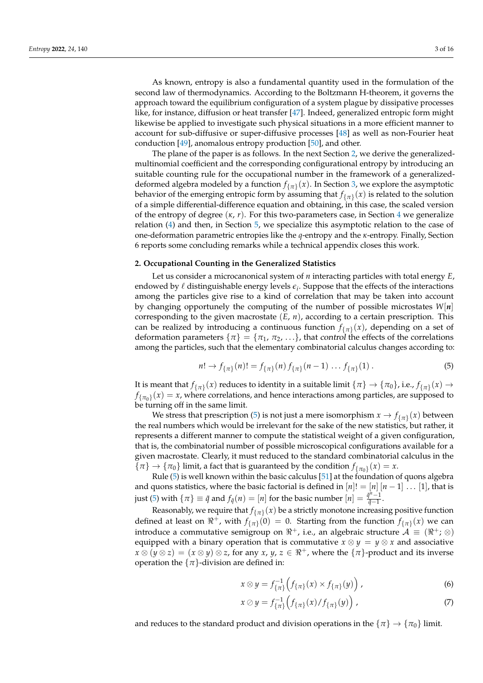As known, entropy is also a fundamental quantity used in the formulation of the second law of thermodynamics. According to the Boltzmann H-theorem, it governs the approach toward the equilibrium configuration of a system plague by dissipative processes like, for instance, diffusion or heat transfer [47]. Indeed, generalized entropic form might likewise be applied to investigate such physical situations in a more efficient manner to account for sub-diffusive or super-diffusive processes [48] as well as non-Fourier heat conduction [49], anomalous entropy production [50], and other.

The plane of the paper is as follows. In the next Section 2, we derive the generalizedmultinomial coefficient and the corresponding configurational entropy by introducing an suitable counting rule for the occupational number in the framework of a generalizeddeformed algebra modeled by a function  $f_{\{\pi\}}(x)$ . In Section 3, we explore the asymptotic behavior of the emerging entropic form by assuming that  $f_{\{\pi\}}(x)$  is related to the solution of a simple differential-difference equation and obtaining, in this case, the scaled version of the entropy of degree (*κ*, *r*). For this two-parameters case, in Section 4 we generalize relation (4) and then, in Section 5, we specialize this asymptotic relation to the case of one-deformation parametric entropies like the *q*-entropy and the *κ*-entropy. Finally, Section 6 reports some concluding remarks while a technical appendix closes this work.

# **2. Occupational Counting in the Generalized Statistics**

Let us consider a microcanonical system of *n* interacting particles with total energy *E*, endowed by  $\ell$  distinguishable energy levels  $\epsilon_i$ . Suppose that the effects of the interactions among the particles give rise to a kind of correlation that may be taken into account by changing opportunely the computing of the number of possible microstates  $W[n]$ corresponding to the given macrostate (*E*, *n*), according to a certain prescription. This can be realized by introducing a continuous function  $f_{\{\pi\}}(x)$ , depending on a set of deformation parameters  $\{\pi\} = \{\pi_1, \pi_2, \ldots\}$ , that control the effects of the correlations among the particles, such that the elementary combinatorial calculus changes according to:

$$
n! \to f_{\{\pi\}}(n)! = f_{\{\pi\}}(n) f_{\{\pi\}}(n-1) \dots f_{\{\pi\}}(1).
$$
 (5)

It is meant that  $f_{\{\pi\}}(x)$  reduces to identity in a suitable limit  $\{\pi\} \to \{\pi_0\}$ , i.e.,  $f_{\{\pi\}}(x) \to$  $f_{\{\pi_0\}}(x) = x$ , where correlations, and hence interactions among particles, are supposed to be turning off in the same limit.

We stress that prescription (5) is not just a mere isomorphism  $x \to f_{\{\pi\}}(x)$  between the real numbers which would be irrelevant for the sake of the new statistics, but rather, it represents a different manner to compute the statistical weight of a given configuration, that is, the combinatorial number of possible microscopical configurations available for a given macrostate. Clearly, it must reduced to the standard combinatorial calculus in the  ${\pi}$  + { ${\pi}$ } limit, a fact that is guaranteed by the condition  $f_{{\pi}_0}(x) = x$ .

Rule (5) is well known within the basic calculus [51] at the foundation of quons algebra and quons statistics, where the basic factorial is defined in  $[n]! = [n] [n-1] \dots [1]$ , that is just (5) with  $\{\pi\} \equiv \tilde{q}$  and  $f_{\tilde{q}}(n) = [n]$  for the basic number  $[n] = \frac{\tilde{q}^n - 1}{\tilde{q} - 1}$  $\frac{1}{\tilde{q}-1}$ .

Reasonably, we require that  $f_{\{\pi\}}(x)$  be a strictly monotone increasing positive function defined at least on  $\Re^+$ , with  $f_{\{\pi\}}(0) = 0$ . Starting from the function  $f_{\{\pi\}}(x)$  we can introduce a commutative semigroup on  $\mathbb{R}^+$ , i.e., an algebraic structure  $\mathcal{A} \equiv (\mathbb{R}^+;\otimes)$ equipped with a binary operation that is commutative  $x \otimes y = y \otimes x$  and associative  $x \otimes (y \otimes z) = (x \otimes y) \otimes z$ , for any *x*, *y*,  $z \in \Re^+$ , where the  $\{\pi\}$ -product and its inverse operation the  $\{\pi\}$ -division are defined in:

$$
x \otimes y = f_{\{\pi\}}^{-1} \left( f_{\{\pi\}}(x) \times f_{\{\pi\}}(y) \right), \tag{6}
$$

$$
x \oslash y = f_{\{\pi\}}^{-1} \left( f_{\{\pi\}}(x) / f_{\{\pi\}}(y) \right), \tag{7}
$$

and reduces to the standard product and division operations in the  $\{\pi\} \to \{\pi_0\}$  limit.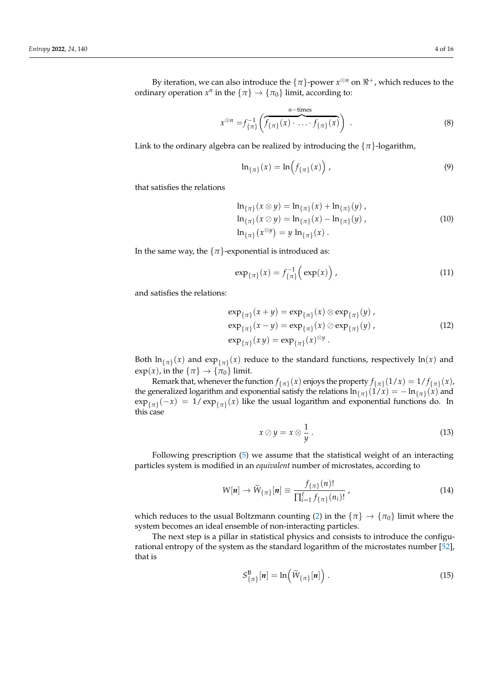By iteration, we can also introduce the  $\{\pi\}$ -power  $x^{\otimes n}$  on  $\Re^+$ , which reduces to the ordinary operation  $x^n$  in the  $\{\pi\} \to {\{\pi_0\}}$  limit, according to:

$$
x^{\otimes n} = f_{\{\pi\}}^{-1} \left( \overbrace{f_{\{\pi\}}(x) \cdot \ldots \cdot f_{\{\pi\}}(x)}^{n-\text{times}} \right) \tag{8}
$$

Link to the ordinary algebra can be realized by introducing the  $\{\pi\}$ -logarithm,

$$
\ln_{\{\pi\}}(x) = \ln\left(f_{\{\pi\}}(x)\right),\tag{9}
$$

that satisfies the relations

$$
\ln_{\{\pi\}}(x \otimes y) = \ln_{\{\pi\}}(x) + \ln_{\{\pi\}}(y),\n\ln_{\{\pi\}}(x \otimes y) = \ln_{\{\pi\}}(x) - \ln_{\{\pi\}}(y),\n\ln_{\{\pi\}}(x^{\otimes y}) = y \ln_{\{\pi\}}(x).
$$
\n(10)

In the same way, the  $\{\pi\}$ -exponential is introduced as:

$$
\exp_{\{\pi\}}(x) = f_{\{\pi\}}^{-1} \left( \exp(x) \right), \tag{11}
$$

and satisfies the relations:

$$
\exp_{\{\pi\}}(x+y) = \exp_{\{\pi\}}(x) \otimes \exp_{\{\pi\}}(y),
$$
  
\n
$$
\exp_{\{\pi\}}(x-y) = \exp_{\{\pi\}}(x) \otimes \exp_{\{\pi\}}(y),
$$
  
\n
$$
\exp_{\{\pi\}}(xy) = \exp_{\{\pi\}}(x)^{\otimes y}.
$$
\n(12)

Both  $\ln_{\{\pi\}}(x)$  and  $\exp_{\{\pi\}}(x)$  reduce to the standard functions, respectively  $\ln(x)$  and  $\exp(x)$ , in the  $\{\pi\} \rightarrow \{\pi_0\}$  limit.

Remark that, whenever the function  $f_{\{\pi\}}(x)$  enjoys the property  $f_{\{\pi\}}(1/x) = 1/f_{\{\pi\}}(x)$ , the generalized logarithm and exponential satisfy the relations  $\ln_{\{\pi\}}(1/x) = -\ln_{\{\pi\}}(x)$  and  $\exp{\{\pi\}}(-x) = 1/\exp{\{\pi\}}(x)$  like the usual logarithm and exponential functions do. In this case

$$
x \oslash y = x \otimes \frac{1}{y} \,. \tag{13}
$$

Following prescription (5) we assume that the statistical weight of an interacting particles system is modified in an *equivalent* number of microstates, according to

$$
W[n] \rightarrow \widetilde{W}_{\{\pi\}}[n] \equiv \frac{f_{\{\pi\}}(n)!}{\prod_{i=1}^{\ell} f_{\{\pi\}}(n_i)!},
$$
\n(14)

which reduces to the usual Boltzmann counting (2) in the  $\{\pi\} \to \{\pi_0\}$  limit where the system becomes an ideal ensemble of non-interacting particles.

The next step is a pillar in statistical physics and consists to introduce the configurational entropy of the system as the standard logarithm of the microstates number [52], that is

$$
S_{\{\pi\}}^{\text{B}}[n] = \ln\left(\widetilde{W}_{\{\pi\}}[n]\right). \tag{15}
$$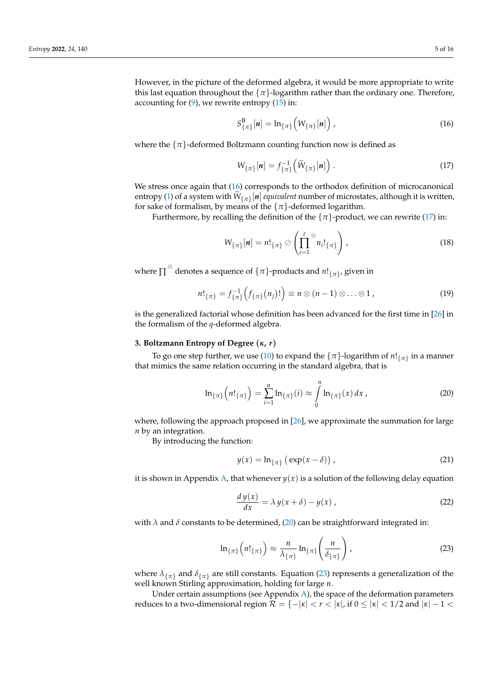However, in the picture of the deformed algebra, it would be more appropriate to write this last equation throughout the  $\{\pi\}$ -logarithm rather than the ordinary one. Therefore, accounting for  $(9)$ , we rewrite entropy  $(15)$  in:

$$
S_{\{\pi\}}^{\mathbf{B}}[\boldsymbol{n}] = \ln_{\{\pi\}}\left(W_{\{\pi\}}[\boldsymbol{n}]\right),\tag{16}
$$

where the  $\{\pi\}$ -deformed Boltzmann counting function now is defined as

$$
W_{\{\pi\}}[\boldsymbol{n}] = f_{\{\pi\}}^{-1} \left( \widetilde{W}_{\{\pi\}}[\boldsymbol{n}] \right). \tag{17}
$$

We stress once again that (16) corresponds to the orthodox definition of microcanonical entropy (1) of a system with  $W_{\{\pi\}}[n]$  *equivalent* number of microstates, although it is written, for sake of formalism, by means of the  $\{\pi\}$ -deformed logarithm.

Furthermore, by recalling the definition of the  $\{\pi\}$ -product, we can rewrite (17) in:

$$
W_{\{\pi\}}[n] = n!_{\{\pi\}} \oslash \left(\prod_{i=1}^{\ell} \mathbb{Z}_{n_i}!_{\{\pi\}}\right), \qquad (18)
$$

where  $\prod^{\otimes}$  denotes a sequence of  $\{\pi\}$ -products and  $n!_{\{\pi\}}$ , given in

$$
n!_{\{\pi\}} = f_{\{\pi\}}^{-1}\left(f_{\{\pi\}}(n_j)!\right) \equiv n \otimes (n-1) \otimes \ldots \otimes 1 , \qquad (19)
$$

is the generalized factorial whose definition has been advanced for the first time in [26] in the formalism of the *q*-deformed algebra.

#### **3. Boltzmann Entropy of Degree** (*κ***,** *r*)

To go one step further, we use (10) to expand the  $\{\pi\}$ -logarithm of  $n!_{\{\pi\}}$  in a manner that mimics the same relation occurring in the standard algebra, that is

$$
\ln_{\{\pi\}}\left(n!\_{\{\pi\}}\right) = \sum_{i=1}^{n} \ln_{\{\pi\}}(i) \approx \int_{0}^{n} \ln_{\{\pi\}}(x) \, dx \,, \tag{20}
$$

where, following the approach proposed in [26], we approximate the summation for large *n* by an integration.

By introducing the function:

$$
y(x) = \ln_{\{\pi\}} (\exp(x - \delta)), \qquad (21)
$$

it is shown in Appendix A, that whenever  $y(x)$  is a solution of the following delay equation

$$
\frac{d y(x)}{dx} = \lambda y(x+\delta) - y(x) , \qquad (22)
$$

with  $\lambda$  and  $\delta$  constants to be determined, (20) can be straightforward integrated in:

$$
\ln_{\{\pi\}}\left(n!\_{\{\pi\}}\right) \approx \frac{n}{\lambda_{\{\pi\}}} \ln_{\{\pi\}}\left(\frac{n}{\delta_{\{\pi\}}}\right),\tag{23}
$$

where  $\lambda_{\{\pi\}}$  and  $\delta_{\{\pi\}}$  are still constants. Equation (23) represents a generalization of the well known Stirling approximation, holding for large *n*.

Under certain assumptions (see Appendix A), the space of the deformation parameters reduces to a two-dimensional region  $\mathcal{R} = \{-|\kappa| < r < |\kappa|, \text{ if } 0 \leq |\kappa| < 1/2 \text{ and } |\kappa| - 1 <$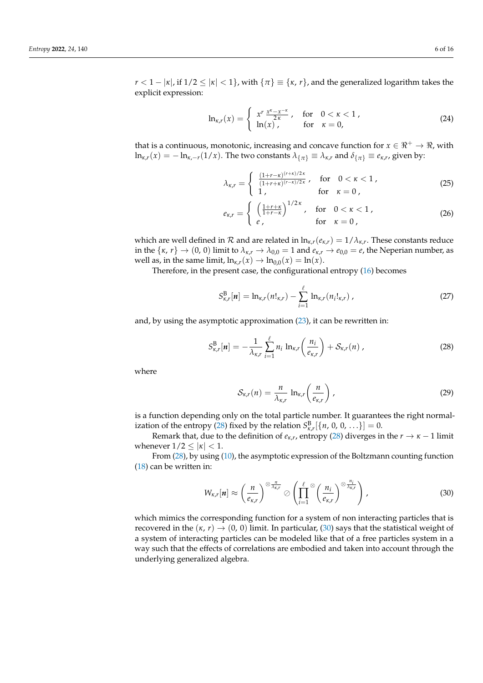*r* < 1 – |*κ*|, if 1/2  $\leq$  |*κ*| < 1}, with { $\pi$ }  $\equiv$  { $\kappa$ , *r*}, and the generalized logarithm takes the explicit expression:

$$
\ln_{\kappa,r}(x) = \begin{cases} x^r \frac{x^{\kappa} - x^{-\kappa}}{2\kappa} , & \text{for} \quad 0 < \kappa < 1 ,\\ \ln(x) , & \text{for} \quad \kappa = 0, \end{cases}
$$
 (24)

that is a continuous, monotonic, increasing and concave function for  $x \in \mathbb{R}^+ \to \mathbb{R}$ , with  $\ln_{\kappa,r}(x) = -\ln_{\kappa,-r}(1/x)$ . The two constants  $\lambda_{\{\pi\}} \equiv \lambda_{\kappa,r}$  and  $\delta_{\{\pi\}} \equiv e_{\kappa,r}$ , given by:

$$
\lambda_{\kappa,r} = \begin{cases} \frac{(1+r-\kappa)^{(r+\kappa)/2\kappa}}{(1+r+\kappa)^{(r-\kappa)/2\kappa}}, & \text{for} \quad 0 < \kappa < 1, \\ 1, & \text{for} \quad \kappa = 0, \end{cases}
$$
 (25)

$$
e_{\kappa,r} = \begin{cases} \left(\frac{1+r+\kappa}{1+r-\kappa}\right)^{1/2\kappa}, & \text{for } 0 < \kappa < 1, \\ e, & \text{for } \kappa = 0, \end{cases}
$$
 (26)

which are well defined in  $R$  and are related in  $\ln_{\kappa,r}(e_{\kappa,r}) = 1/\lambda_{\kappa,r}$ . These constants reduce in the  $\{k, r\} \to (0, 0)$  limit to  $\lambda_{k,r} \to \lambda_{0,0} = 1$  and  $e_{k,r} \to e_{0,0} = e$ , the Neperian number, as well as, in the same limit,  $\ln_{\kappa,r}(x) \to \ln_{0,0}(x) = \ln(x)$ .

Therefore, in the present case, the configurational entropy (16) becomes

$$
S_{\kappa,r}^{\text{B}}[n] = \ln_{\kappa,r}(n!_{\kappa,r}) - \sum_{i=1}^{\ell} \ln_{\kappa,r}(n_i!_{\kappa,r}), \qquad (27)
$$

and, by using the asymptotic approximation (23), it can be rewritten in:

$$
S_{\kappa,r}^{\text{B}}[n] = -\frac{1}{\lambda_{\kappa,r}} \sum_{i=1}^{\ell} n_i \ln_{\kappa,r} \left( \frac{n_i}{e_{\kappa,r}} \right) + \mathcal{S}_{\kappa,r}(n) , \qquad (28)
$$

where

$$
S_{\kappa,r}(n) = \frac{n}{\lambda_{\kappa,r}} \ln_{\kappa,r} \left( \frac{n}{e_{\kappa,r}} \right),
$$
 (29)

is a function depending only on the total particle number. It guarantees the right normalization of the entropy (28) fixed by the relation  $S^{\text{B}}_{\kappa,r}[\{n, 0, 0, ...\}]=0$ .

Remark that, due to the definition of  $e_{\kappa,r}$ , entropy (28) diverges in the  $r \to \kappa - 1$  limit whenever  $1/2 \leq |\kappa| < 1$ .

From (28), by using (10), the asymptotic expression of the Boltzmann counting function (18) can be written in:

$$
W_{\kappa,r}[n] \approx \left(\frac{n}{e_{\kappa,r}}\right)^{\otimes \frac{n}{\lambda_{\kappa,r}}} \oslash \left(\prod_{i=1}^{\ell} \frac{e_{\kappa,r}}{e_{\kappa,r}}\right)^{\otimes \frac{n_i}{\lambda_{\kappa,r}}},\tag{30}
$$

which mimics the corresponding function for a system of non interacting particles that is recovered in the  $(\kappa, r) \rightarrow (0, 0)$  limit. In particular, (30) says that the statistical weight of a system of interacting particles can be modeled like that of a free particles system in a way such that the effects of correlations are embodied and taken into account through the underlying generalized algebra.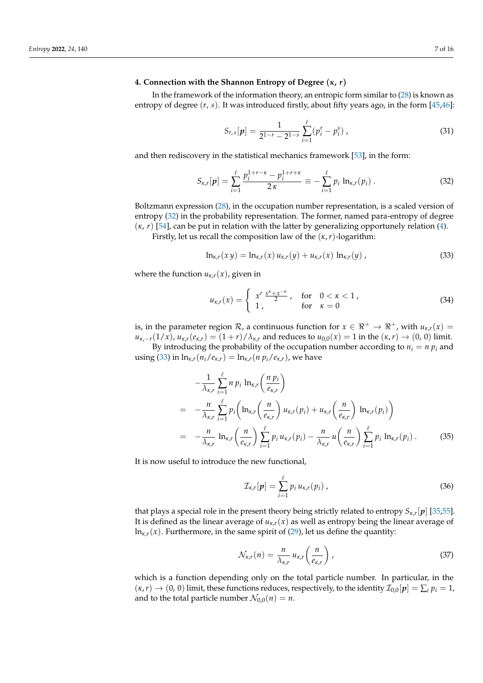#### **4. Connection with the Shannon Entropy of Degree** (*κ***,** *r*)

In the framework of the information theory, an entropic form similar to (28) is known as entropy of degree (*r*, *s*). It was introduced firstly, about fifty years ago, in the form [45,46]:

$$
S_{r,s}[p] = \frac{1}{2^{1-r} - 2^{1-s}} \sum_{i=1}^{\ell} (p_i^r - p_i^s) \tag{31}
$$

and then rediscovery in the statistical mechanics framework [53], in the form:

$$
S_{\kappa,r}[p] = \sum_{i=1}^{\ell} \frac{p_i^{1+r-\kappa} - p_i^{1+r+\kappa}}{2\,\kappa} \equiv -\sum_{i=1}^{\ell} p_i \,\ln_{\kappa,r}(p_i) \,. \tag{32}
$$

Boltzmann expression (28), in the occupation number representation, is a scaled version of entropy (32) in the probability representation. The former, named para-entropy of degree  $(\kappa, r)$  [54], can be put in relation with the latter by generalizing opportunely relation (4).

Firstly, let us recall the composition law of the (*κ*,*r*)-logarithm:

$$
\ln_{\kappa,r}(xy) = \ln_{\kappa,r}(x) u_{\kappa,r}(y) + u_{\kappa,r}(x) \ln_{\kappa,r}(y), \qquad (33)
$$

where the function  $u_{k,r}(x)$ , given in

$$
u_{\kappa,r}(x) = \begin{cases} x^r \frac{x^{\kappa} + x^{-\kappa}}{2}, & \text{for } 0 < \kappa < 1, \\ 1, & \text{for } \kappa = 0 \end{cases}
$$
 (34)

is, in the parameter region  $\mathcal{R}$ , a continuous function for  $x \in \mathbb{R}^+ \to \mathbb{R}^+$ , with  $u_{\kappa,r}(x) =$ *u*<sub>*κ,−r*</sub>(1/*x*), *u*<sub>*κ,r*</sub>( $e$ <sub>*κr*</sub>) = (1+*r*)/ $λ$ <sub>*κ,r*</sub> and reduces to *u*<sub>0,0</sub>(*x*) = 1 in the (*κ,r*) → (0, 0) limit.

By introducing the probability of the occupation number according to  $n_i = n p_i$  and using (33) in  $\ln_{\kappa,r}(n_i/e_{\kappa,r}) = \ln_{\kappa,r}(n p_i/e_{\kappa,r})$ , we have

$$
-\frac{1}{\lambda_{\kappa,r}}\sum_{i=1}^{\ell} n p_i \ln_{\kappa,r} \left(\frac{n p_i}{e_{\kappa,r}}\right)
$$
  
= 
$$
-\frac{n}{\lambda_{\kappa,r}}\sum_{i=1}^{\ell} p_i \left(\ln_{\kappa,r} \left(\frac{n}{e_{\kappa,r}}\right) u_{\kappa,r}(p_i) + u_{\kappa,r} \left(\frac{n}{e_{\kappa,r}}\right) \ln_{\kappa,r}(p_i)\right)
$$
  
= 
$$
-\frac{n}{\lambda_{\kappa,r}} \ln_{\kappa,r} \left(\frac{n}{e_{\kappa,r}}\right) \sum_{i=1}^{\ell} p_i u_{\kappa,r}(p_i) - \frac{n}{\lambda_{\kappa,r}} u \left(\frac{n}{e_{\kappa,r}}\right) \sum_{i=1}^{\ell} p_i \ln_{\kappa,r}(p_i).
$$
 (35)

It is now useful to introduce the new functional,

$$
\mathcal{I}_{\kappa,r}[p] = \sum_{i=1}^{\ell} p_i u_{\kappa,r}(p_i) , \qquad (36)
$$

that plays a special role in the present theory being strictly related to entropy *Sκ*,*<sup>r</sup>* [*p*] [35,55]. It is defined as the linear average of  $u_{k,r}(x)$  as well as entropy being the linear average of  $\ln_{K,r}(x)$ . Furthermore, in the same spirit of (29), let us define the quantity:

$$
\mathcal{N}_{\kappa,r}(n) = \frac{n}{\lambda_{\kappa,r}} u_{\kappa,r} \left(\frac{n}{e_{\kappa,r}}\right),\tag{37}
$$

which is a function depending only on the total particle number. In particular, in the  $(x, r) \rightarrow (0, 0)$  limit, these functions reduces, respectively, to the identity  $\mathcal{I}_{0,0}[p] = \sum_i p_i = 1$ , and to the total particle number  $\mathcal{N}_{0,0}(n) = n$ .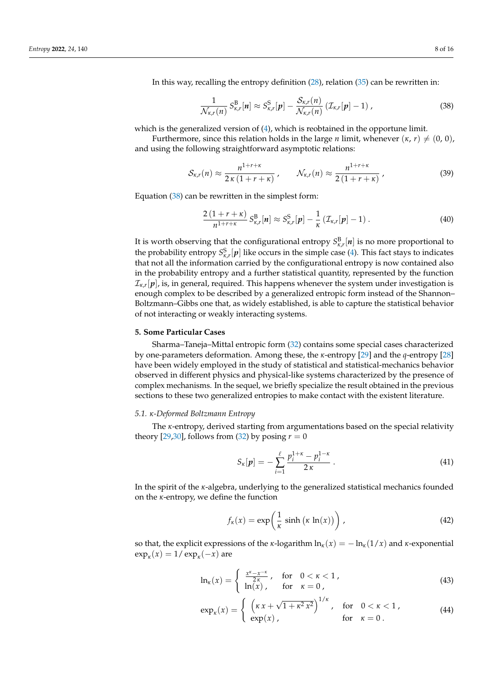In this way, recalling the entropy definition (28), relation (35) can be rewritten in:

$$
\frac{1}{\mathcal{N}_{\kappa,r}(n)} S^{\text{B}}_{\kappa,r}[n] \approx S^{\text{S}}_{\kappa,r}[p] - \frac{\mathcal{S}_{\kappa,r}(n)}{\mathcal{N}_{\kappa,r}(n)} \left( \mathcal{I}_{\kappa,r}[p] - 1 \right), \tag{38}
$$

which is the generalized version of (4), which is reobtained in the opportune limit.

Furthermore, since this relation holds in the large *n* limit, whenever  $(\kappa, r) \neq (0, 0)$ , and using the following straightforward asymptotic relations:

$$
S_{\kappa,r}(n) \approx \frac{n^{1+r+\kappa}}{2\,\kappa\,(1+r+\kappa)}\,, \qquad \mathcal{N}_{\kappa,r}(n) \approx \frac{n^{1+r+\kappa}}{2\,(1+r+\kappa)}\,,\tag{39}
$$

Equation (38) can be rewritten in the simplest form:

$$
\frac{2\left(1+r+\kappa\right)}{n^{1+r+\kappa}}\,S_{\kappa,r}^{\mathrm{B}}[n]\approx S_{\kappa,r}^{\mathrm{S}}[p]-\frac{1}{\kappa}\left(\mathcal{I}_{\kappa,r}[p]-1\right). \tag{40}
$$

It is worth observing that the configurational entropy  $S^{\text{B}}_{\kappa,r}[n]$  is no more proportional to the probability entropy  $S^S_{\kappa,r}[\boldsymbol{p}]$  like occurs in the simple case (4). This fact stays to indicates that not all the information carried by the configurational entropy is now contained also in the probability entropy and a further statistical quantity, represented by the function  $\mathcal{I}_{\kappa,r}[\pmb{p}]$ , is, in general, required. This happens whenever the system under investigation is enough complex to be described by a generalized entropic form instead of the Shannon– Boltzmann–Gibbs one that, as widely established, is able to capture the statistical behavior of not interacting or weakly interacting systems.

#### **5. Some Particular Cases**

Sharma–Taneja–Mittal entropic form (32) contains some special cases characterized by one-parameters deformation. Among these, the *κ*-entropy [29] and the *q*-entropy [28] have been widely employed in the study of statistical and statistical-mechanics behavior observed in different physics and physical-like systems characterized by the presence of complex mechanisms. In the sequel, we briefly specialize the result obtained in the previous sections to these two generalized entropies to make contact with the existent literature.

#### *5.1. κ-Deformed Boltzmann Entropy*

The *κ*-entropy, derived starting from argumentations based on the special relativity theory [29,30], follows from (32) by posing  $r = 0$ 

$$
S_{\kappa}[\boldsymbol{p}] = -\sum_{i=1}^{\ell} \frac{p_i^{1+\kappa} - p_i^{1-\kappa}}{2\,\kappa} \,. \tag{41}
$$

In the spirit of the *κ*-algebra, underlying to the generalized statistical mechanics founded on the *κ*-entropy, we define the function

$$
f_{\kappa}(x) = \exp\left(\frac{1}{\kappa}\sinh\left(\kappa\ln(x)\right)\right),\tag{42}
$$

so that, the explicit expressions of the *κ*-logarithm  $\ln_k(x) = -\ln_k(1/x)$  and *κ*-exponential  $\exp_{\kappa}(x) = 1/\exp_{\kappa}(-x)$  are

$$
\ln_{\kappa}(x) = \begin{cases} \frac{x^{\kappa} - x^{-\kappa}}{2\kappa}, & \text{for } 0 < \kappa < 1, \\ \ln(x), & \text{for } \kappa = 0, \end{cases}
$$
 (43)

$$
\exp_{\kappa}(x) = \begin{cases} \left(\kappa x + \sqrt{1 + \kappa^2 x^2}\right)^{1/\kappa}, & \text{for } 0 < \kappa < 1, \\ \exp(x), & \text{for } \kappa = 0. \end{cases}
$$
 (44)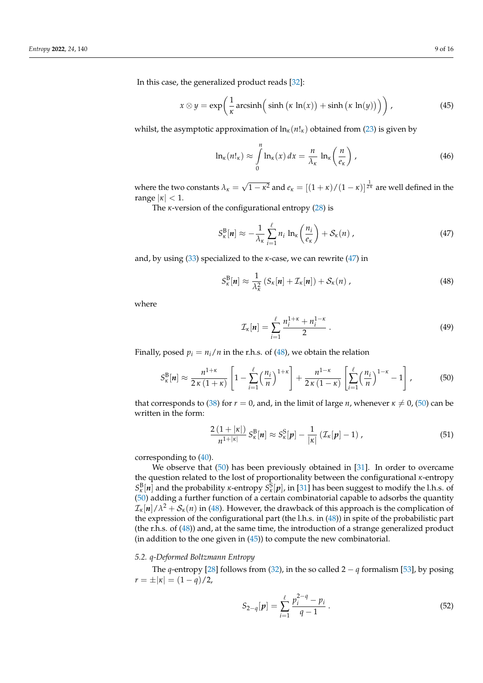In this case, the generalized product reads [32]:

$$
x \otimes y = \exp\left(\frac{1}{\kappa}\operatorname{arcsinh}\left(\sinh\left(\kappa\ln(x)\right) + \sinh\left(\kappa\ln(y)\right)\right)\right),\tag{45}
$$

whilst, the asymptotic approximation of  $\ln_{\kappa}(n!_{\kappa})$  obtained from (23) is given by

$$
\ln_{\kappa}(n!_{\kappa}) \approx \int_{0}^{n} \ln_{\kappa}(x) dx = \frac{n}{\lambda_{\kappa}} \ln_{\kappa}\left(\frac{n}{e_{\kappa}}\right), \tag{46}
$$

where the two constants  $\lambda_{\kappa} =$ √  $\overline{1-\kappa^2}$  and  $e_\kappa=[(1+\kappa)/(1-\kappa)]^{\frac{1}{2\kappa}}$  are well defined in the range  $|\kappa|$  < 1.

The *κ*-version of the configurational entropy (28) is

$$
S_{\kappa}^{\mathcal{B}}[n] \approx -\frac{1}{\lambda_{\kappa}} \sum_{i=1}^{\ell} n_i \ln_{\kappa} \left( \frac{n_i}{e_{\kappa}} \right) + \mathcal{S}_{\kappa}(n) \,, \tag{47}
$$

and, by using (33) specialized to the *κ*-case, we can rewrite (47) in

$$
S_{\kappa}^{\mathcal{B}}[n] \approx \frac{1}{\lambda_{\kappa}^{2}} \left( S_{\kappa}[n] + \mathcal{I}_{\kappa}[n] \right) + \mathcal{S}_{\kappa}(n) \,, \tag{48}
$$

where

$$
\mathcal{I}_{\kappa}[n] = \sum_{i=1}^{\ell} \frac{n_i^{1+\kappa} + n_i^{1-\kappa}}{2} \,. \tag{49}
$$

Finally, posed  $p_i = n_i/n$  in the r.h.s. of (48), we obtain the relation

$$
S_{\kappa}^{\text{B}}[n] \approx \frac{n^{1+\kappa}}{2\,\kappa\,(1+\kappa)} \left[1 - \sum_{i=1}^{\ell} \left(\frac{n_i}{n}\right)^{1+\kappa}\right] + \frac{n^{1-\kappa}}{2\,\kappa\,(1-\kappa)} \left[\sum_{i=1}^{\ell} \left(\frac{n_i}{n}\right)^{1-\kappa} - 1\right],\tag{50}
$$

that corresponds to (38) for  $r = 0$ , and, in the limit of large *n*, whenever  $\kappa \neq 0$ , (50) can be written in the form:

$$
\frac{2(1+|\kappa|)}{n^{1+|\kappa|}} S_{\kappa}^{\mathcal{B}}[n] \approx S_{\kappa}^{\mathcal{S}}[p] - \frac{1}{|\kappa|} \left( \mathcal{I}_{\kappa}[p] - 1 \right), \tag{51}
$$

corresponding to (40).

We observe that (50) has been previously obtained in [31]. In order to overcame the question related to the lost of proportionality between the configurational *κ*-entropy *S*<sup>B</sup><sub>*κ*</sub></sub> $[n]$  and the probability *κ*-entropy *S*<sup>ε</sup><sub>*κ*</sub> $[p]$ , in [31] has been suggest to modify the l.h.s. of (50) adding a further function of a certain combinatorial capable to adsorbs the quantity  $\mathcal{I}_{\kappa}[n]/\lambda^2 + \mathcal{S}_{\kappa}(n)$  in (48). However, the drawback of this approach is the complication of the expression of the configurational part (the l.h.s. in (48)) in spite of the probabilistic part (the r.h.s. of (48)) and, at the same time, the introduction of a strange generalized product (in addition to the one given in  $(45)$ ) to compute the new combinatorial.

#### *5.2. q-Deformed Boltzmann Entropy*

The *q*-entropy [28] follows from (32), in the so called  $2 - q$  formalism [53], by posing  $r = \pm |\kappa| = (1 - q)/2,$ 

$$
S_{2-q}[\boldsymbol{p}] = \sum_{i=1}^{\ell} \frac{p_i^{2-q} - p_i}{q-1} \,. \tag{52}
$$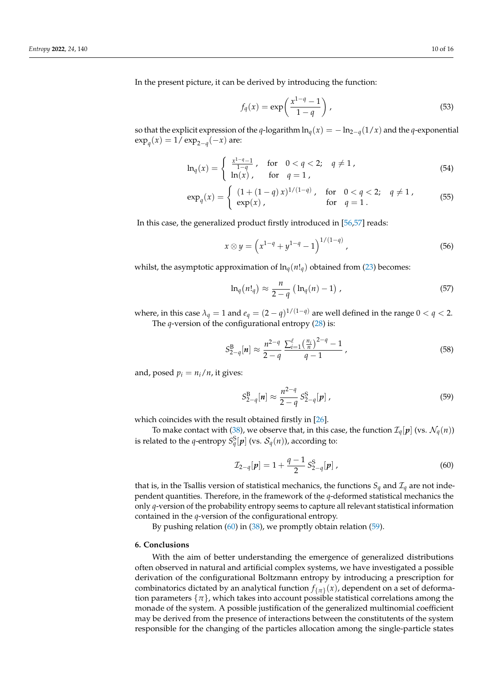In the present picture, it can be derived by introducing the function:

$$
f_q(x) = \exp\left(\frac{x^{1-q} - 1}{1-q}\right),\tag{53}
$$

so that the explicit expression of the *q*-logarithm  $\ln_q(x) = -\ln_{2-q}(1/x)$  and the *q*-exponential  $\exp_q(x) = 1/\exp_{2-q}(-x)$  are:

$$
\ln_q(x) = \begin{cases} \frac{x^{1-q}-1}{1-q}, & \text{for } 0 < q < 2; q \neq 1, \\ \ln(x), & \text{for } q = 1, \end{cases}
$$
 (54)

$$
\exp_q(x) = \begin{cases} (1 + (1 - q) x)^{1/(1 - q)}, & \text{for } 0 < q < 2; q \neq 1, \\ \exp(x), & \text{for } q = 1. \end{cases}
$$
(55)

In this case, the generalized product firstly introduced in [56,57] reads:

$$
x \otimes y = \left(x^{1-q} + y^{1-q} - 1\right)^{1/(1-q)}, \tag{56}
$$

whilst, the asymptotic approximation of  $\ln_q(n!_q)$  obtained from (23) becomes:

$$
\ln_q(n!_q) \approx \frac{n}{2-q} \left( \ln_q(n) - 1 \right),\tag{57}
$$

where, in this case  $\lambda_q = 1$  and  $e_q = (2 - q)^{1/(1 - q)}$  are well defined in the range  $0 < q < 2$ . The *q*-version of the configurational entropy (28) is:

$$
S_{2-q}^{\mathcal{B}}[n] \approx \frac{n^{2-q}}{2-q} \frac{\sum_{i=1}^{\ell} \left(\frac{n_i}{n}\right)^{2-q} - 1}{q-1},\tag{58}
$$

and, posed  $p_i = n_i/n$ , it gives:

$$
S_{2-q}^{B}[\boldsymbol{n}] \approx \frac{n^{2-q}}{2-q} S_{2-q}^{S}[\boldsymbol{p}] \,, \tag{59}
$$

which coincides with the result obtained firstly in [26].

To make contact with (38), we observe that, in this case, the function  $\mathcal{I}_q[p]$  (vs.  $\mathcal{N}_q(n)$ ) is related to the *q*-entropy  $S_q^{\mathbf{S}}[\boldsymbol{p}]$  (vs.  $\mathcal{S}_q(n)$ ), according to:

$$
\mathcal{I}_{2-q}[\boldsymbol{p}] = 1 + \frac{q-1}{2} S^S_{2-q}[\boldsymbol{p}] \,, \tag{60}
$$

that is, in the Tsallis version of statistical mechanics, the functions  $S_q$  and  $\mathcal{I}_q$  are not independent quantities. Therefore, in the framework of the *q*-deformed statistical mechanics the only *q*-version of the probability entropy seems to capture all relevant statistical information contained in the *q*-version of the configurational entropy.

By pushing relation (60) in (38), we promptly obtain relation (59).

## **6. Conclusions**

With the aim of better understanding the emergence of generalized distributions often observed in natural and artificial complex systems, we have investigated a possible derivation of the configurational Boltzmann entropy by introducing a prescription for combinatorics dictated by an analytical function  $f_{\{\pi\}}(x)$ , dependent on a set of deformation parameters  $\{\pi\}$ , which takes into account possible statistical correlations among the monade of the system. A possible justification of the generalized multinomial coefficient may be derived from the presence of interactions between the constitutents of the system responsible for the changing of the particles allocation among the single-particle states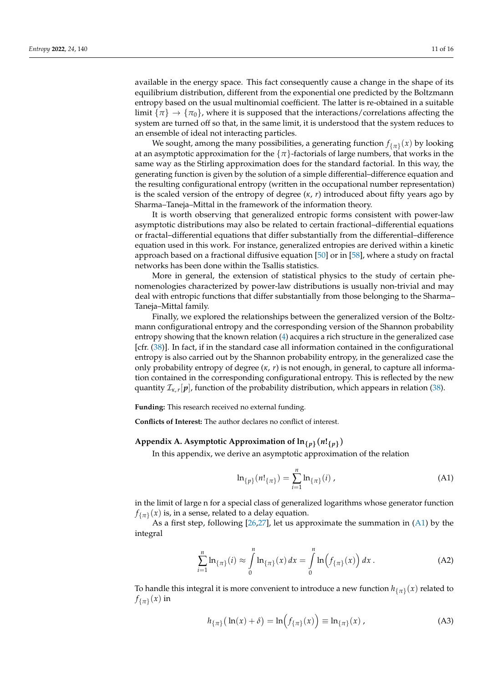entropy based on the usual multinomial coefficient. The latter is re-obtained in a suitable limit  $\{\pi\} \to \{\pi_0\}$ , where it is supposed that the interactions/correlations affecting the system are turned off so that, in the same limit, it is understood that the system reduces to an ensemble of ideal not interacting particles.

We sought, among the many possibilities, a generating function  $f_{\{\pi\}}(x)$  by looking at an asymptotic approximation for the  $\{\pi\}$ -factorials of large numbers, that works in the same way as the Stirling approximation does for the standard factorial. In this way, the generating function is given by the solution of a simple differential–difference equation and the resulting configurational entropy (written in the occupational number representation) is the scaled version of the entropy of degree (*κ*, *r*) introduced about fifty years ago by Sharma–Taneja–Mittal in the framework of the information theory.

It is worth observing that generalized entropic forms consistent with power-law asymptotic distributions may also be related to certain fractional–differential equations or fractal–differential equations that differ substantially from the differential–difference equation used in this work. For instance, generalized entropies are derived within a kinetic approach based on a fractional diffusive equation [50] or in [58], where a study on fractal networks has been done within the Tsallis statistics.

More in general, the extension of statistical physics to the study of certain phenomenologies characterized by power-law distributions is usually non-trivial and may deal with entropic functions that differ substantially from those belonging to the Sharma– Taneja–Mittal family.

Finally, we explored the relationships between the generalized version of the Boltzmann configurational entropy and the corresponding version of the Shannon probability entropy showing that the known relation (4) acquires a rich structure in the generalized case [cfr. (38)]. In fact, if in the standard case all information contained in the configurational entropy is also carried out by the Shannon probability entropy, in the generalized case the only probability entropy of degree (*κ*, *r*) is not enough, in general, to capture all information contained in the corresponding configurational entropy. This is reflected by the new quantity I*κ*,*<sup>r</sup>* [*p*], function of the probability distribution, which appears in relation (38).

**Funding:** This research received no external funding.

**Conflicts of Interest:** The author declares no conflict of interest.

# **Appendix A. Asymptotic Approximation of ln**{*p*} (*n***!**{*p*} )

In this appendix, we derive an asymptotic approximation of the relation

$$
\ln_{\{p\}}(n!_{\{\pi\}}) = \sum_{i=1}^{n} \ln_{\{\pi\}}(i) , \qquad (A1)
$$

in the limit of large n for a special class of generalized logarithms whose generator function  $f_{\{\pi\}}(x)$  is, in a sense, related to a delay equation.

As a first step, following [26,27], let us approximate the summation in (A1) by the integral

$$
\sum_{i=1}^{n} \ln_{\{\pi\}}(i) \approx \int_{0}^{n} \ln_{\{\pi\}}(x) dx = \int_{0}^{n} \ln(f_{\{\pi\}}(x)) dx.
$$
 (A2)

To handle this integral it is more convenient to introduce a new function  $h_{\{\pi\}}(x)$  related to  $f_{\{\pi\}}(x)$  in

$$
h_{\{\pi\}}(\ln(x) + \delta) = \ln(f_{\{\pi\}}(x)) \equiv \ln_{\{\pi\}}(x) , \tag{A3}
$$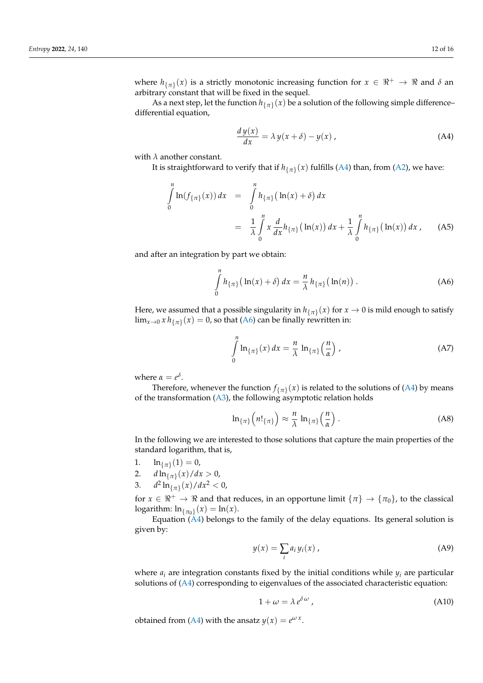where  $h_{\{\pi\}}(x)$  is a strictly monotonic increasing function for  $x \in \Re^+ \to \Re$  and  $\delta$  and arbitrary constant that will be fixed in the sequel.

As a next step, let the function  $h_{\{\pi\}}(x)$  be a solution of the following simple difference– differential equation,

$$
\frac{d y(x)}{dx} = \lambda y(x+\delta) - y(x) , \qquad (A4)
$$

with *λ* another constant.

It is straightforward to verify that if  $h_{\{\pi\}}(x)$  fulfills (A4) than, from (A2), we have:

$$
\int_{0}^{n} \ln(f_{\{\pi\}}(x)) dx = \int_{0}^{n} h_{\{\pi\}}(\ln(x) + \delta) dx
$$
  
= 
$$
\frac{1}{\lambda} \int_{0}^{n} x \frac{d}{dx} h_{\{\pi\}}(\ln(x)) dx + \frac{1}{\lambda} \int_{0}^{n} h_{\{\pi\}}(\ln(x)) dx,
$$
 (A5)

and after an integration by part we obtain:

$$
\int_{0}^{n} h_{\{\pi\}}\big(\ln(x) + \delta\big) dx = \frac{n}{\lambda} h_{\{\pi\}}\big(\ln(n)\big) . \tag{A6}
$$

Here, we assumed that a possible singularity in  $h_{\{\pi\}}(x)$  for  $x \to 0$  is mild enough to satisfy  $\lim_{x\to 0} x h_{\{\pi\}}(x) = 0$ , so that (A6) can be finally rewritten in:

$$
\int_{0}^{n} \ln_{\{\pi\}}(x) dx = \frac{n}{\lambda} \ln_{\{\pi\}}\left(\frac{n}{\alpha}\right),
$$
 (A7)

where  $\alpha = e^{\delta}$ .

Therefore, whenever the function  $f_{\{\pi\}}(x)$  is related to the solutions of (A4) by means of the transformation  $(A3)$ , the following asymptotic relation holds

$$
\ln_{\{\pi\}}\left(n!\,\frac{1}{\{\pi\}}\right) \approx \frac{n}{\lambda} \ln_{\{\pi\}}\left(\frac{n}{\alpha}\right). \tag{A8}
$$

In the following we are interested to those solutions that capture the main properties of the standard logarithm, that is,

- 1.  $\ln_{\{\pi\}}(1) = 0$ ,
- 2.  $d\ln_{\{\pi\}}(x)/dx > 0$ ,
- 3. *d*  $^{2}\ln_{\{\pi\}}(x)/dx^{2} < 0$ ,

for  $x \in \mathbb{R}^+ \to \mathbb{R}$  and that reduces, in an opportune limit  $\{\pi\} \to \{\pi_0\}$ , to the classical logarithm:  $\ln_{\{\pi_0\}}(x) = \ln(x)$ .

Equation  $(A4)$  belongs to the family of the delay equations. Its general solution is given by:

$$
y(x) = \sum_{i} a_i y_i(x) , \qquad (A9)
$$

where  $a_i$  are integration constants fixed by the initial conditions while  $y_i$  are particular solutions of (A4) corresponding to eigenvalues of the associated characteristic equation:

$$
1 + \omega = \lambda e^{\delta \omega}, \tag{A10}
$$

obtained from (A4) with the ansatz  $y(x) = e^{\omega x}$ .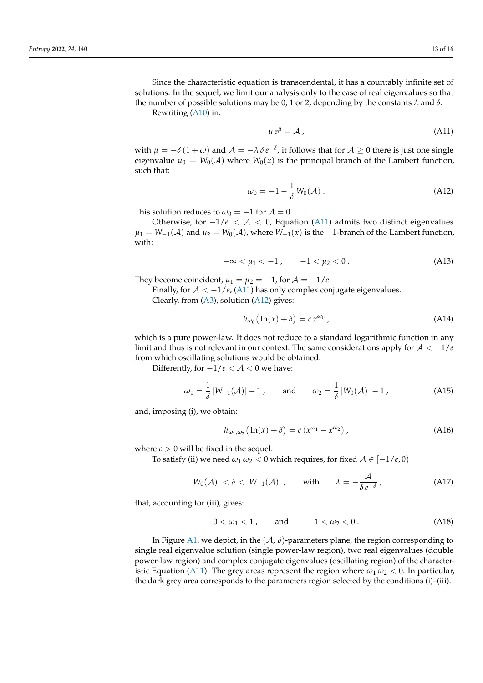Since the characteristic equation is transcendental, it has a countably infinite set of solutions. In the sequel, we limit our analysis only to the case of real eigenvalues so that the number of possible solutions may be 0, 1 or 2, depending by the constants *λ* and *δ*. Rewriting (A10) in:

 $\mu e^{\mu} = A$ , (A11)

with  $\mu = -\delta(1+\omega)$  and  $\mathcal{A} = -\lambda \, \delta \, e^{-\delta}$ , it follows that for  $\mathcal{A} \geq 0$  there is just one single eigenvalue  $\mu_0 = W_0(\mathcal{A})$  where  $W_0(x)$  is the principal branch of the Lambert function, such that:

$$
\omega_0 = -1 - \frac{1}{\delta} W_0(\mathcal{A}). \tag{A12}
$$

This solution reduces to  $\omega_0 = -1$  for  $\mathcal{A} = 0$ .

Otherwise, for −1/*e* < A < 0, Equation (A11) admits two distinct eigenvalues  $\mu_1 = W_{-1}(\mathcal{A})$  and  $\mu_2 = W_0(\mathcal{A})$ , where  $W_{-1}(x)$  is the  $-1$ -branch of the Lambert function, with:

$$
-\infty < \mu_1 < -1 \,, \qquad -1 < \mu_2 < 0 \,.
$$
\n(A13)

They become coincident,  $\mu_1 = \mu_2 = -1$ , for  $\mathcal{A} = -1/e$ .

Finally, for  $A < -1/e$ , (A11) has only complex conjugate eigenvalues.

Clearly, from  $(A3)$ , solution  $(A12)$  gives:

$$
h_{\omega_0}(\ln(x) + \delta) = c x^{\omega_0}, \qquad (A14)
$$

which is a pure power-law. It does not reduce to a standard logarithmic function in any limit and thus is not relevant in our context. The same considerations apply for  $A < -1/e$ from which oscillating solutions would be obtained.

Differently, for −1/*e* < A < 0 we have:

$$
\omega_1 = \frac{1}{\delta} |W_{-1}(\mathcal{A})| - 1, \quad \text{and} \quad \omega_2 = \frac{1}{\delta} |W_0(\mathcal{A})| - 1, \quad (A15)
$$

and, imposing (i), we obtain:

$$
h_{\omega_1,\omega_2}(\ln(x)+\delta) = c\left(x^{\omega_1} - x^{\omega_2}\right),\tag{A16}
$$

where  $c > 0$  will be fixed in the sequel.

To satisfy (ii) we need  $\omega_1 \omega_2 < 0$  which requires, for fixed  $A \in [-1/e, 0]$ 

$$
|W_0(\mathcal{A})| < \delta < |W_{-1}(\mathcal{A})| \,, \qquad \text{with} \qquad \lambda = -\frac{\mathcal{A}}{\delta \, e^{-\delta}} \,, \tag{A17}
$$

that, accounting for (iii), gives:

$$
0 < \omega_1 < 1 \,, \qquad \text{and} \qquad -1 < \omega_2 < 0 \,. \tag{A18}
$$

In Figure A1, we depict, in the  $(A, \delta)$ -parameters plane, the region corresponding to single real eigenvalue solution (single power-law region), two real eigenvalues (double power-law region) and complex conjugate eigenvalues (oscillating region) of the characteristic Equation (A11). The grey areas represent the region where  $\omega_1 \omega_2 < 0$ . In particular, the dark grey area corresponds to the parameters region selected by the conditions (i)–(iii).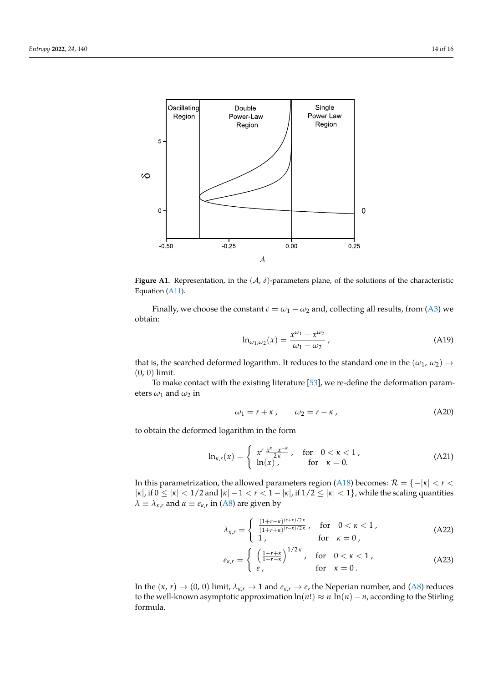

**Figure A1.** Representation, in the  $(A, \delta)$ -parameters plane, of the solutions of the characteristic Equation (A11).

Finally, we choose the constant  $c = \omega_1 - \omega_2$  and, collecting all results, from (A3) we obtain:

$$
\ln_{\omega_1,\omega_2}(x) = \frac{x^{\omega_1} - x^{\omega_2}}{\omega_1 - \omega_2},
$$
\n(A19)

that is, the searched deformed logarithm. It reduces to the standard one in the  $(\omega_1, \omega_2) \rightarrow$ (0, 0) limit.

To make contact with the existing literature [53], we re-define the deformation parameters  $\omega_1$  and  $\omega_2$  in

$$
\omega_1 = r + \kappa \,, \qquad \omega_2 = r - \kappa \,, \tag{A20}
$$

to obtain the deformed logarithm in the form

$$
\ln_{\kappa,r}(x) = \begin{cases} x^r \frac{x^{\kappa} - x^{-\kappa}}{2\kappa}, & \text{for } 0 < \kappa < 1, \\ \ln(x), & \text{for } \kappa = 0. \end{cases}
$$
 (A21)

In this parametrization, the allowed parameters region (A18) becomes:  $\mathcal{R} = \{-|k| < r <$  $|k|$ , if  $0 \leq |k| < 1/2$  and  $|k| - 1 < r < 1 - |k|$ , if  $1/2 \leq |k| < 1$ , while the scaling quantities  $\lambda \equiv \lambda_{\kappa,r}$  and  $\alpha \equiv e_{\kappa,r}$  in (A8) are given by

$$
\lambda_{\kappa,r} = \begin{cases} \frac{(1+r-\kappa)^{(r+\kappa)/2\kappa}}{(1+r+\kappa)^{(r-\kappa)/2\kappa}}, & \text{for} \quad 0 < \kappa < 1, \\ 1, & \text{for} \quad \kappa = 0, \end{cases}
$$
 (A22)

$$
e_{\kappa,r} = \begin{cases} \left(\frac{1+r+\kappa}{1+r-\kappa}\right)^{1/2\kappa}, & \text{for } 0 < \kappa < 1, \\ e, & \text{for } \kappa = 0. \end{cases}
$$
 (A23)

In the  $(\kappa, r) \rightarrow (0, 0)$  limit,  $\lambda_{\kappa,r} \rightarrow 1$  and  $e_{\kappa,r} \rightarrow e$ , the Neperian number, and (A8) reduces to the well-known asymptotic approximation  $ln(n!) \approx n ln(n) - n$ , according to the Stirling formula.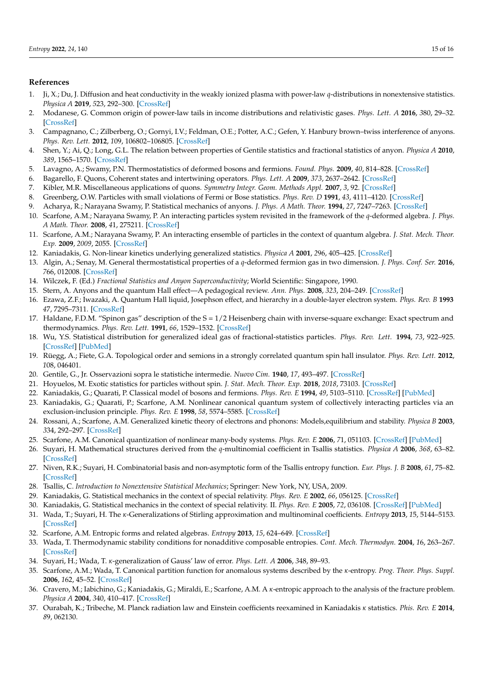### **References**

- 1. Ji, X.; Du, J. Diffusion and heat conductivity in the weakly ionized plasma with power-law *q*-distributions in nonextensive statistics. *Physica A* **2019**, *5*23, 292–300. [\[CrossRef\]](http://doi.org/10.1016/j.physa.2019.01.046)
- 2. Modanese, G. Common origin of power-law tails in income distributions and relativistic gases. *Phys. Lett. A* **2016**, *3*80, 29–32. [\[CrossRef\]](http://dx.doi.org/10.1016/j.physleta.2015.09.004)
- 3. Campagnano, C.; Zilberberg, O.; Gornyi, I.V.; Feldman, O.E.; Potter, A.C.; Gefen, Y. Hanbury brown–twiss interference of anyons. *Phys. Rev. Lett.* **2012**, *1*09, 106802–106805. [\[CrossRef\]](http://dx.doi.org/10.1103/PhysRevLett.109.106802)
- 4. Shen, Y.; Ai, Q.; Long, G.L. The relation between properties of Gentile statistics and fractional statistics of anyon. *Physica A* **2010**, *389*, 1565–1570. [\[CrossRef\]](http://dx.doi.org/10.1016/j.physa.2009.12.042)
- 5. Lavagno, A.; Swamy, P.N. Thermostatistics of deformed bosons and fermions. *Found. Phys.* **2009**, *40*, 814–828. [\[CrossRef\]](http://dx.doi.org/10.1007/s10701-009-9363-0)
- 6. Bagarello, F. Quons, Coherent states and intertwining operators. *Phys. Lett. A* **2009**, *373*, 2637–2642. [\[CrossRef\]](http://dx.doi.org/10.1016/j.physleta.2009.05.037)
- 7. Kibler, M.R. Miscellaneous applications of quons. *Symmetry Integr. Geom. Methods Appl.* **2007**, *3*, 92. [\[CrossRef\]](http://dx.doi.org/10.3842/SIGMA.2007.092)
- 8. Greenberg, O.W. Particles with small violations of Fermi or Bose statistics. *Phys. Rev. D* **1991**, *43*, 4111–4120. [\[CrossRef\]](http://dx.doi.org/10.1103/PhysRevD.43.4111)
- 9. Acharya, R.; Narayana Swamy, P. Statistical mechanics of anyons. *J. Phys. A Math. Theor.* **1994**, *27*, 7247–7263. [\[CrossRef\]](http://dx.doi.org/10.1088/0305-4470/27/22/005)
- 10. Scarfone, A.M.; Narayana Swamy, P. An interacting particles system revisited in the framework of the *q*-deformed algebra. *J. Phys. A Math. Theor.* **2008**, *4*1, 275211. [\[CrossRef\]](http://dx.doi.org/10.1088/1751-8113/41/27/275211)
- 11. Scarfone, A.M.; Narayana Swamy, P. An interacting ensemble of particles in the context of quantum algebra. *J. Stat. Mech. Theor. Exp.* **2009**, *2009*, 2055. [\[CrossRef\]](http://dx.doi.org/10.1088/1742-5468/2009/02/P02055)
- 12. Kaniadakis, G. Non-linear kinetics underlying generalized statistics. *Physica A* **2001**, *2*96, 405–425. [\[CrossRef\]](http://dx.doi.org/10.1016/S0378-4371(01)00184-4)
- 13. Algin, A.; Senay, M. General thermostatistical properties of a *q*-deformed fermion gas in two dimension. *J. Phys. Conf. Ser.* **2016**, *7*66, 012008. [\[CrossRef\]](http://dx.doi.org/10.1088/1742-6596/766/1/012008)
- 14. Wilczek, F. (Ed.) *Fractional Statistics and Anyon Superconductivity*; World Scientific: Singapore, 1990.
- 15. Stern, A. Anyons and the quantum Hall effect—A pedagogical review. *Ann. Phys.* **2008**, *323*, 204–249. [\[CrossRef\]](http://dx.doi.org/10.1016/j.aop.2007.10.008)
- 16. Ezawa, Z.F.; Iwazaki, A. Quantum Hall liquid, Josephson effect, and hierarchy in a double-layer electron system. *Phys. Rev. B* **1993** *4*7, 7295–7311. [\[CrossRef\]](http://dx.doi.org/10.1103/PhysRevB.47.7295)
- 17. Haldane, F.D.M. "Spinon gas" description of the S = 1/2 Heisenberg chain with inverse-square exchange: Exact spectrum and thermodynamics. *Phys. Rev. Lett.* **1991**, *66*, 1529–1532. [\[CrossRef\]](http://dx.doi.org/10.1103/PhysRevLett.66.1529)
- 18. Wu, Y.S. Statistical distribution for generalized ideal gas of fractional-statistics particles. *Phys. Rev. Lett.* **1994**, *73*, 922–925. [\[CrossRef\]](http://dx.doi.org/10.1103/PhysRevLett.73.922) [\[PubMed\]](http://www.ncbi.nlm.nih.gov/pubmed/10057575)
- 19. Rüegg, A.; Fiete, G.A. Topological order and semions in a strongly correlated quantum spin hall insulator. *Phys. Rev. Lett.* **2012**, *1*08, 046401.
- 20. Gentile, G., Jr. Osservazioni sopra le statistiche intermedie. *Nuovo Cim.* **1940**, *17*, 493–497. [\[CrossRef\]](http://dx.doi.org/10.1007/BF02960187)
- 21. Hoyuelos, M. Exotic statistics for particles without spin. *J. Stat. Mech. Theor. Exp.* **2018**, *2018*, 73103. [\[CrossRef\]](http://dx.doi.org/10.1088/1742-5468/aacf0d)
- 22. Kaniadakis, G.; Quarati, P. Classical model of bosons and fermions. *Phys. Rev. E* **1994**, *49*, 5103–5110. [\[CrossRef\]](http://dx.doi.org/10.1103/PhysRevE.49.5103) [\[PubMed\]](http://www.ncbi.nlm.nih.gov/pubmed/9961832)
- 23. Kaniadakis, G.; Quarati, P.; Scarfone, A.M. Nonlinear canonical quantum system of collectively interacting particles via an exclusion-inclusion principle. *Phys. Rev. E* **1998**, *58*, 5574–5585. [\[CrossRef\]](http://dx.doi.org/10.1103/PhysRevE.58.5574)
- 24. Rossani, A.; Scarfone, A.M. Generalized kinetic theory of electrons and phonons: Models,equilibrium and stability. *Physica B* **2003**, *3*34, 292–297. [\[CrossRef\]](http://dx.doi.org/10.1016/S0921-4526(03)00079-6)
- 25. Scarfone, A.M. Canonical quantization of nonlinear many-body systems. *Phys. Rev. E* **2006**, *7*1, 051103. [\[CrossRef\]](http://dx.doi.org/10.1103/PhysRevE.71.051103) [\[PubMed\]](http://www.ncbi.nlm.nih.gov/pubmed/16089517)
- 26. Suyari, H. Mathematical structures derived from the *q*-multinomial coefficient in Tsallis statistics. *Physica A* **2006**, *368*, 63–82. [\[CrossRef\]](http://dx.doi.org/10.1016/j.physa.2005.12.061)
- 27. Niven, R.K.; Suyari, H. Combinatorial basis and non-asymptotic form of the Tsallis entropy function. *Eur. Phys. J. B* **2008**, *61*, 75–82. [\[CrossRef\]](http://dx.doi.org/10.1140/epjb/e2008-00038-8)
- 28. Tsallis, C. *Introduction to Nonextensive Statistical Mechanics*; Springer: New York, NY, USA, 2009.
- 29. Kaniadakis, G. Statistical mechanics in the context of special relativity. *Phys. Rev. E* **2002**, *66*, 056125. [\[CrossRef\]](http://dx.doi.org/10.1103/PhysRevE.66.056125)
- 30. Kaniadakis, G. Statistical mechanics in the context of special relativity. II. *Phys. Rev. E* **2005**, *72*, 036108. [\[CrossRef\]](http://dx.doi.org/10.1103/PhysRevE.72.036108) [\[PubMed\]](http://www.ncbi.nlm.nih.gov/pubmed/16241516)
- 31. Wada, T.; Suyari, H. The *κ*-Generalizations of Stirling approximation and multinominal coefficients. *Entropy* **2013**, *1*5, 5144–5153. [\[CrossRef\]](http://dx.doi.org/10.3390/e15125144)
- 32. Scarfone, A.M. Entropic forms and related algebras. *Entropy* **2013**, *15*, 624–649. [\[CrossRef\]](http://dx.doi.org/10.3390/e15020624)
- 33. Wada, T. Thermodynamic stability conditions for nonadditive composable entropies. *Cont. Mech. Thermodyn.* **2004**, *1*6, 263–267. [\[CrossRef\]](http://dx.doi.org/10.1007/s00161-003-0156-y)
- 34. Suyari, H.; Wada, T. *κ*-generalization of Gauss' law of error. *Phys. Lett. A* **2006**, *3*48, 89–93.
- 35. Scarfone, A.M.; Wada, T. Canonical partition function for anomalous systems described by the *κ*-entropy. *Prog. Theor. Phys. Suppl.* **2006**, *1*62, 45–52. [\[CrossRef\]](http://dx.doi.org/10.1143/PTPS.162.45)
- 36. Cravero, M.; Iabichino, G.; Kaniadakis, G.; Miraldi, E.; Scarfone, A.M. A *κ*-entropic approach to the analysis of the fracture problem. *Physica A* **2004**, *3*40, 410–417. [\[CrossRef\]](http://dx.doi.org/10.1016/j.physa.2004.04.035)
- 37. Ourabah, K.; Tribeche, M. Planck radiation law and Einstein coefficients reexamined in Kaniadakis *κ* statistics. *Phis. Rev. E* **2014**, *8*9, 062130.